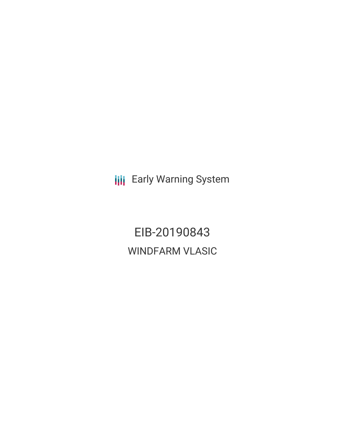**III** Early Warning System

EIB-20190843 WINDFARM VLASIC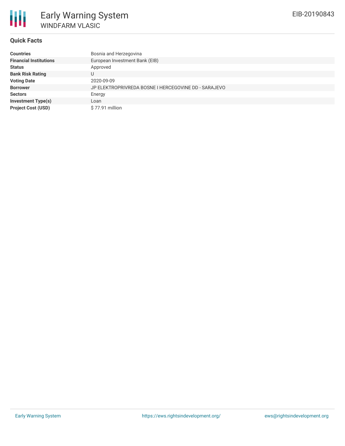

# **Quick Facts**

| <b>Countries</b>              | Bosnia and Herzegovina                               |
|-------------------------------|------------------------------------------------------|
| <b>Financial Institutions</b> | European Investment Bank (EIB)                       |
| <b>Status</b>                 | Approved                                             |
| <b>Bank Risk Rating</b>       |                                                      |
| <b>Voting Date</b>            | 2020-09-09                                           |
| <b>Borrower</b>               | JP ELEKTROPRIVREDA BOSNE I HERCEGOVINE DD - SARAJEVO |
| <b>Sectors</b>                | Energy                                               |
| <b>Investment Type(s)</b>     | Loan                                                 |
| <b>Project Cost (USD)</b>     | $$77.91$ million                                     |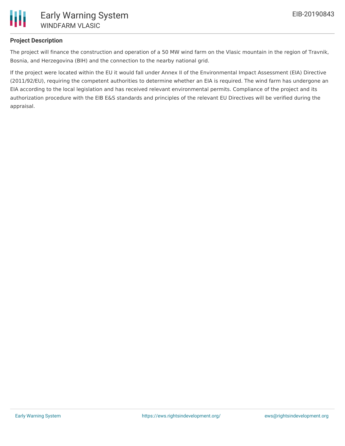

# **Project Description**

The project will finance the construction and operation of a 50 MW wind farm on the Vlasic mountain in the region of Travnik, Bosnia, and Herzegovina (BIH) and the connection to the nearby national grid.

If the project were located within the EU it would fall under Annex II of the Environmental Impact Assessment (EIA) Directive (2011/92/EU), requiring the competent authorities to determine whether an EIA is required. The wind farm has undergone an EIA according to the local legislation and has received relevant environmental permits. Compliance of the project and its authorization procedure with the EIB E&S standards and principles of the relevant EU Directives will be verified during the appraisal.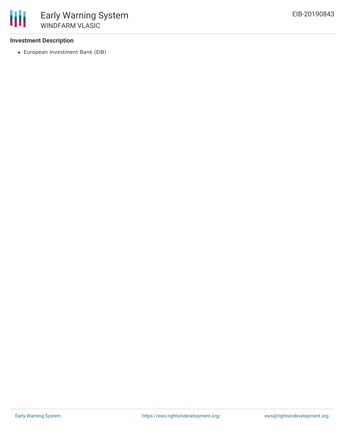# **Investment Description**

European Investment Bank (EIB)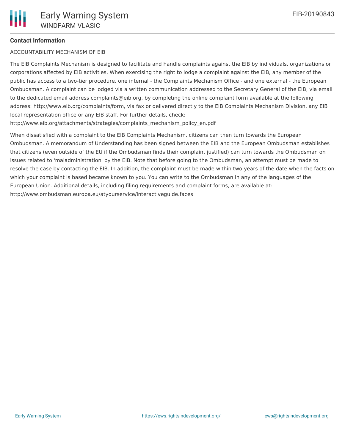# **Contact Information**

#### ACCOUNTABILITY MECHANISM OF EIB

The EIB Complaints Mechanism is designed to facilitate and handle complaints against the EIB by individuals, organizations or corporations affected by EIB activities. When exercising the right to lodge a complaint against the EIB, any member of the public has access to a two-tier procedure, one internal - the Complaints Mechanism Office - and one external - the European Ombudsman. A complaint can be lodged via a written communication addressed to the Secretary General of the EIB, via email to the dedicated email address complaints@eib.org, by completing the online complaint form available at the following address: http://www.eib.org/complaints/form, via fax or delivered directly to the EIB Complaints Mechanism Division, any EIB local representation office or any EIB staff. For further details, check:

http://www.eib.org/attachments/strategies/complaints\_mechanism\_policy\_en.pdf

When dissatisfied with a complaint to the EIB Complaints Mechanism, citizens can then turn towards the European Ombudsman. A memorandum of Understanding has been signed between the EIB and the European Ombudsman establishes that citizens (even outside of the EU if the Ombudsman finds their complaint justified) can turn towards the Ombudsman on issues related to 'maladministration' by the EIB. Note that before going to the Ombudsman, an attempt must be made to resolve the case by contacting the EIB. In addition, the complaint must be made within two years of the date when the facts on which your complaint is based became known to you. You can write to the Ombudsman in any of the languages of the European Union. Additional details, including filing requirements and complaint forms, are available at: http://www.ombudsman.europa.eu/atyourservice/interactiveguide.faces